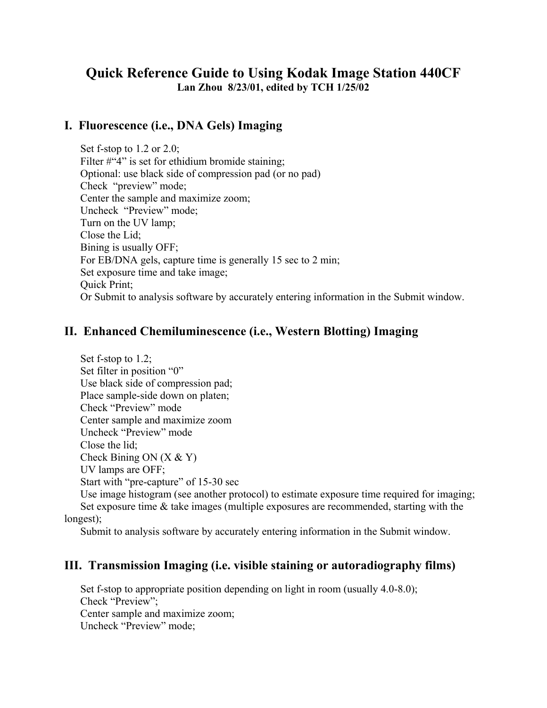## **Quick Reference Guide to Using Kodak Image Station 440CF Lan Zhou 8/23/01, edited by TCH 1/25/02**

## **I. Fluorescence (i.e., DNA Gels) Imaging**

Set f-stop to 1.2 or 2.0; Filter #"4" is set for ethidium bromide staining; Optional: use black side of compression pad (or no pad) Check "preview" mode; Center the sample and maximize zoom; Uncheck "Preview" mode; Turn on the UV lamp; Close the Lid; Bining is usually OFF; For EB/DNA gels, capture time is generally 15 sec to 2 min; Set exposure time and take image; Quick Print; Or Submit to analysis software by accurately entering information in the Submit window.

## **II. Enhanced Chemiluminescence (i.e., Western Blotting) Imaging**

Set f-stop to 1.2; Set filter in position "0" Use black side of compression pad; Place sample-side down on platen; Check "Preview" mode Center sample and maximize zoom Uncheck "Preview" mode Close the lid; Check Bining ON  $(X & Y)$ UV lamps are OFF; Start with "pre-capture" of 15-30 sec

Use image histogram (see another protocol) to estimate exposure time required for imaging; Set exposure time & take images (multiple exposures are recommended, starting with the longest);

Submit to analysis software by accurately entering information in the Submit window.

## **III. Transmission Imaging (i.e. visible staining or autoradiography films)**

Set f-stop to appropriate position depending on light in room (usually 4.0-8.0); Check "Preview"; Center sample and maximize zoom; Uncheck "Preview" mode;